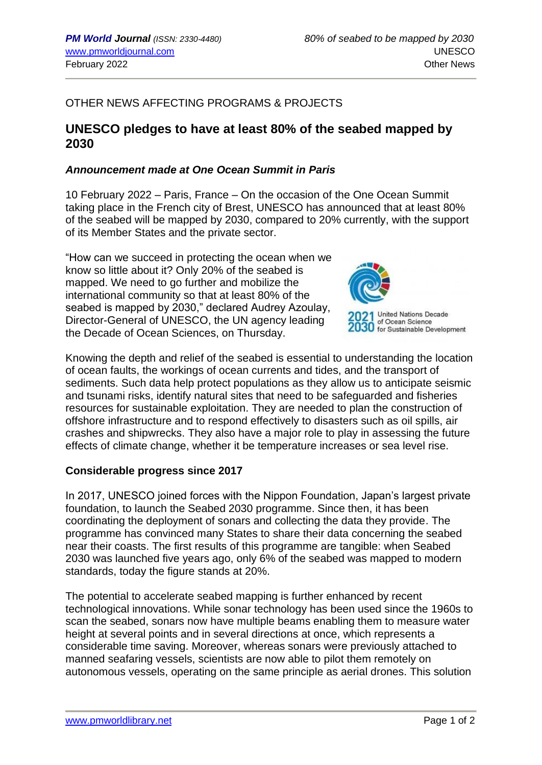## OTHER NEWS AFFECTING PROGRAMS & PROJECTS

# **UNESCO pledges to have at least 80% of the seabed mapped by 2030**

#### *Announcement made at One Ocean Summit in Paris*

10 February 2022 – Paris, France – On the occasion of the One Ocean Summit taking place in the French city of Brest, UNESCO has announced that at least 80% of the seabed will be mapped by 2030, compared to 20% currently, with the support of its Member States and the private sector.

"How can we succeed in protecting the ocean when we know so little about it? Only 20% of the seabed is mapped. We need to go further and mobilize the international community so that at least 80% of the seabed is mapped by 2030," declared Audrey Azoulay, Director-General of UNESCO, the UN agency leading the Decade of Ocean Sciences, on Thursday.



**United Nations Decade** of Ocean Science 30 for Sustainable Development

Knowing the depth and relief of the seabed is essential to understanding the location of ocean faults, the workings of ocean currents and tides, and the transport of sediments. Such data help protect populations as they allow us to anticipate seismic and tsunami risks, identify natural sites that need to be safeguarded and fisheries resources for sustainable exploitation. They are needed to plan the construction of offshore infrastructure and to respond effectively to disasters such as oil spills, air crashes and shipwrecks. They also have a major role to play in assessing the future effects of climate change, whether it be temperature increases or sea level rise.

#### **Considerable progress since 2017**

In 2017, UNESCO joined forces with the Nippon Foundation, Japan's largest private foundation, to launch the Seabed 2030 programme. Since then, it has been coordinating the deployment of sonars and collecting the data they provide. The programme has convinced many States to share their data concerning the seabed near their coasts. The first results of this programme are tangible: when Seabed 2030 was launched five years ago, only 6% of the seabed was mapped to modern standards, today the figure stands at 20%.

The potential to accelerate seabed mapping is further enhanced by recent technological innovations. While sonar technology has been used since the 1960s to scan the seabed, sonars now have multiple beams enabling them to measure water height at several points and in several directions at once, which represents a considerable time saving. Moreover, whereas sonars were previously attached to manned seafaring vessels, scientists are now able to pilot them remotely on autonomous vessels, operating on the same principle as aerial drones. This solution